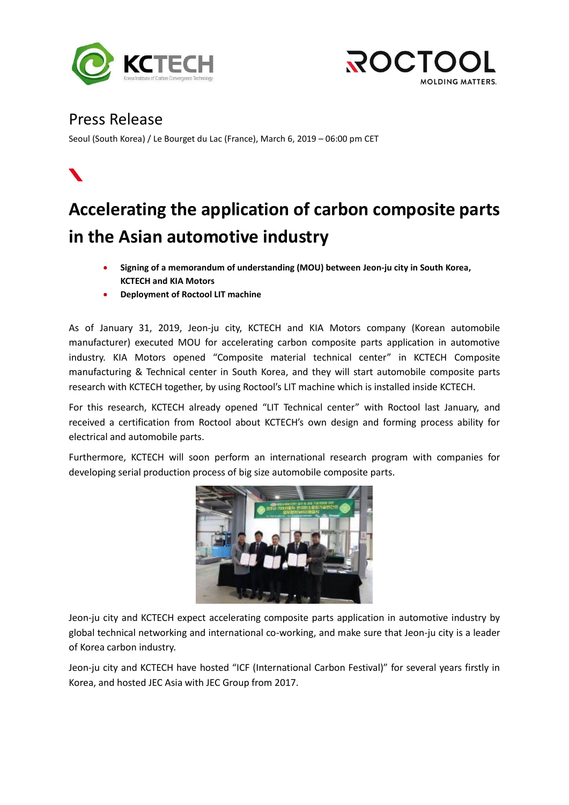



## Press Release

Seoul (South Korea) / Le Bourget du Lac (France), March 6, 2019 – 06:00 pm CET



## **Accelerating the application of carbon composite parts in the Asian automotive industry**

- **Signing of a memorandum of understanding (MOU) between Jeon-ju city in South Korea, KCTECH and KIA Motors**
- **Deployment of Roctool LIT machine**

As of January 31, 2019, Jeon-ju city, KCTECH and KIA Motors company (Korean automobile manufacturer) executed MOU for accelerating carbon composite parts application in automotive industry. KIA Motors opened "Composite material technical center" in KCTECH Composite manufacturing & Technical center in South Korea, and they will start automobile composite parts research with KCTECH together, by using Roctool's LIT machine which is installed inside KCTECH.

For this research, KCTECH already opened "LIT Technical center" with Roctool last January, and received a certification from Roctool about KCTECH's own design and forming process ability for electrical and automobile parts.

Furthermore, KCTECH will soon perform an international research program with companies for developing serial production process of big size automobile composite parts.



Jeon-ju city and KCTECH expect accelerating composite parts application in automotive industry by global technical networking and international co-working, and make sure that Jeon-ju city is a leader of Korea carbon industry.

Jeon-ju city and KCTECH have hosted "ICF (International Carbon Festival)" for several years firstly in Korea, and hosted JEC Asia with JEC Group from 2017.